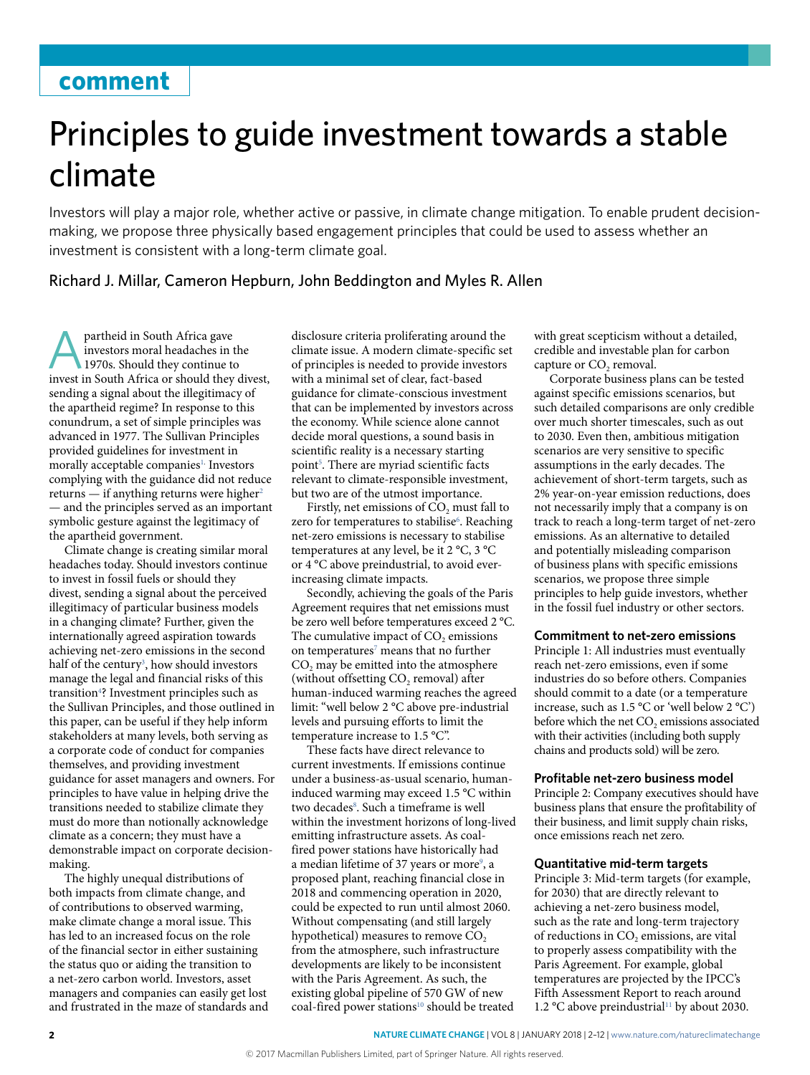# **comment**

# Principles to guide investment towards a stable climate

Investors will play a major role, whether active or passive, in climate change mitigation. To enable prudent decisionmaking, we propose three physically based engagement principles that could be used to assess whether an investment is consistent with a long-term climate goal.

## Richard J. Millar, Cameron Hepburn, John Beddington and Myles R. Allen

**A** partheid in South Africa gave<br>investors moral headaches in t<br>1970s. Should they continue to investors moral headaches in the 1970s. Should they continue to invest in South Africa or should they divest, sending a signal about the illegitimacy of the apartheid regime? In response to this conundrum, a set of simple principles was advanced in 1977. The Sullivan Principles provided guidelines for investment in morally acceptable companies<sup>1.</sup> Investors complying with the guidance did not reduce returns — if anything returns were higher<sup>2</sup> — and the principles served as an important symbolic gesture against the legitimacy of the apartheid government.

Climate change is creating similar moral headaches today. Should investors continue to invest in fossil fuels or should they divest, sending a signal about the perceived illegitimacy of particular business models in a changing climate? Further, given the internationally agreed aspiration towards achieving net-zero emissions in the second half of the century<sup>3</sup>, how should investors manage the legal and financial risks of this transition<sup>4</sup>? Investment principles such as the Sullivan Principles, and those outlined in this paper, can be useful if they help inform stakeholders at many levels, both serving as a corporate code of conduct for companies themselves, and providing investment guidance for asset managers and owners. For principles to have value in helping drive the transitions needed to stabilize climate they must do more than notionally acknowledge climate as a concern; they must have a demonstrable impact on corporate decisionmaking.

The highly unequal distributions of both impacts from climate change, and of contributions to observed warming, make climate change a moral issue. This has led to an increased focus on the role of the financial sector in either sustaining the status quo or aiding the transition to a net-zero carbon world. Investors, asset managers and companies can easily get lost and frustrated in the maze of standards and disclosure criteria proliferating around the climate issue. A modern climate-specific set of principles is needed to provide investors with a minimal set of clear, fact-based guidance for climate-conscious investment that can be implemented by investors across the economy. While science alone cannot decide moral questions, a sound basis in scientific reality is a necessary starting point<sup>5</sup>. There are myriad scientific facts relevant to climate-responsible investment, but two are of the utmost importance.

Firstly, net emissions of CO<sub>2</sub> must fall to zero for temperatures to stabilise<sup>6</sup>. Reaching net-zero emissions is necessary to stabilise temperatures at any level, be it 2 °C, 3 °C or 4 °C above preindustrial, to avoid everincreasing climate impacts.

Secondly, achieving the goals of the Paris Agreement requires that net emissions must be zero well before temperatures exceed 2 °C. The cumulative impact of CO<sub>2</sub> emissions on temperatures<sup>7</sup> means that no further CO<sub>2</sub> may be emitted into the atmosphere (without offsetting  $CO$ , removal) after human-induced warming reaches the agreed limit: "well below 2 °C above pre-industrial levels and pursuing efforts to limit the temperature increase to 1.5 °C".

These facts have direct relevance to current investments. If emissions continue under a business-as-usual scenario, humaninduced warming may exceed 1.5 °C within two decades<sup>8</sup>. Such a timeframe is well within the investment horizons of long-lived emitting infrastructure assets. As coalfired power stations have historically had a median lifetime of 37 years or more<sup>9</sup>, a proposed plant, reaching financial close in 2018 and commencing operation in 2020, could be expected to run until almost 2060. Without compensating (and still largely hypothetical) measures to remove  $CO<sub>2</sub>$ . from the atmosphere, such infrastructure developments are likely to be inconsistent with the Paris Agreement. As such, the existing global pipeline of 570 GW of new coal-fired power stations<sup>10</sup> should be treated

with great scepticism without a detailed, credible and investable plan for carbon capture or CO<sub>2</sub> removal.

Corporate business plans can be tested against specific emissions scenarios, but such detailed comparisons are only credible over much shorter timescales, such as out to 2030. Even then, ambitious mitigation scenarios are very sensitive to specific assumptions in the early decades. The achievement of short-term targets, such as 2% year-on-year emission reductions, does not necessarily imply that a company is on track to reach a long-term target of net-zero emissions. As an alternative to detailed and potentially misleading comparison of business plans with specific emissions scenarios, we propose three simple principles to help guide investors, whether in the fossil fuel industry or other sectors.

#### **Commitment to net-zero emissions**

Principle 1: All industries must eventually reach net-zero emissions, even if some industries do so before others. Companies should commit to a date (or a temperature increase, such as 1.5 °C or 'well below 2 °C') before which the net CO<sub>2</sub> emissions associated with their activities (including both supply chains and products sold) will be zero.

#### **Profitable net-zero business model**

Principle 2: Company executives should have business plans that ensure the profitability of their business, and limit supply chain risks, once emissions reach net zero.

#### **Quantitative mid-term targets**

Principle 3: Mid-term targets (for example, for 2030) that are directly relevant to achieving a net-zero business model, such as the rate and long-term trajectory of reductions in CO<sub>2</sub> emissions, are vital to properly assess compatibility with the Paris Agreement. For example, global temperatures are projected by the IPCC's Fifth Assessment Report to reach around 1.2 °C above preindustrial<sup>11</sup> by about 2030.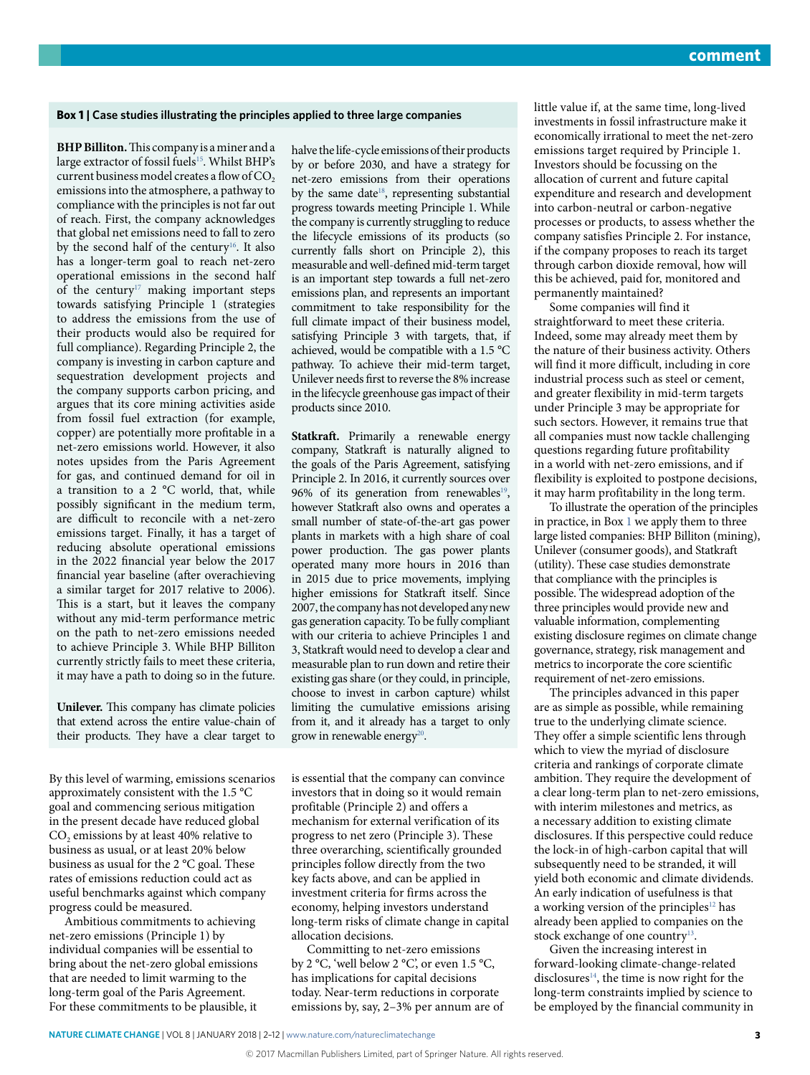#### **Box 1 | Case studies illustrating the principles applied to three large companies**

**BHP Billiton.** This company is a miner and a large extractor of fossil fuels<sup>15</sup>. Whilst BHP's current business model creates a flow of CO<sub>2</sub> emissions into the atmosphere, a pathway to compliance with the principles is not far out of reach. First, the company acknowledges that global net emissions need to fall to zero by the second half of the century<sup>16</sup>. It also has a longer-term goal to reach net-zero operational emissions in the second half of the century<sup>17</sup> making important steps towards satisfying Principle 1 (strategies to address the emissions from the use of their products would also be required for full compliance). Regarding Principle 2, the company is investing in carbon capture and sequestration development projects and the company supports carbon pricing, and argues that its core mining activities aside from fossil fuel extraction (for example, copper) are potentially more proftable in a net-zero emissions world. However, it also notes upsides from the Paris Agreement for gas, and continued demand for oil in a transition to a 2 °C world, that, while possibly signifcant in the medium term, are difficult to reconcile with a net-zero emissions target. Finally, it has a target of reducing absolute operational emissions in the 2022 fnancial year below the 2017 financial year baseline (after overachieving a similar target for 2017 relative to 2006). This is a start, but it leaves the company without any mid-term performance metric on the path to net-zero emissions needed to achieve Principle 3. While BHP Billiton currently strictly fails to meet these criteria, it may have a path to doing so in the future.

**Unilever.** This company has climate policies that extend across the entire value-chain of their products. They have a clear target to

By this level of warming, emissions scenarios approximately consistent with the 1.5 °C goal and commencing serious mitigation in the present decade have reduced global CO<sub>2</sub> emissions by at least 40% relative to business as usual, or at least 20% below business as usual for the 2 °C goal. These rates of emissions reduction could act as useful benchmarks against which company progress could be measured.

Ambitious commitments to achieving net-zero emissions (Principle 1) by individual companies will be essential to bring about the net-zero global emissions that are needed to limit warming to the long-term goal of the Paris Agreement. For these commitments to be plausible, it halve the life-cycle emissions of their products by or before 2030, and have a strategy for net-zero emissions from their operations by the same date<sup>18</sup>, representing substantial progress towards meeting Principle 1. While the company is currently struggling to reduce the lifecycle emissions of its products (so currently falls short on Principle 2), this measurable and well-defned mid-term target is an important step towards a full net-zero emissions plan, and represents an important commitment to take responsibility for the full climate impact of their business model, satisfying Principle 3 with targets, that, if achieved, would be compatible with a 1.5 °C pathway. To achieve their mid-term target, Unilever needs frst to reverse the 8% increase in the lifecycle greenhouse gas impact of their products since 2010.

**Statkraf.** Primarily a renewable energy company, Statkraft is naturally aligned to the goals of the Paris Agreement, satisfying Principle 2. In 2016, it currently sources over 96% of its generation from renewables<sup>19</sup>, however Statkraft also owns and operates a small number of state-of-the-art gas power plants in markets with a high share of coal power production. The gas power plants operated many more hours in 2016 than in 2015 due to price movements, implying higher emissions for Statkraft itself. Since 2007, the company has not developed any new gas generation capacity. To be fully compliant with our criteria to achieve Principles 1 and 3, Statkraft would need to develop a clear and measurable plan to run down and retire their existing gas share (or they could, in principle, choose to invest in carbon capture) whilst limiting the cumulative emissions arising from it, and it already has a target to only grow in renewable energy<sup>20</sup>.

is essential that the company can convince investors that in doing so it would remain profitable (Principle 2) and offers a mechanism for external verification of its progress to net zero (Principle 3). These three overarching, scientifically grounded principles follow directly from the two key facts above, and can be applied in investment criteria for firms across the economy, helping investors understand long-term risks of climate change in capital allocation decisions.

Committing to net-zero emissions by 2 °C, 'well below 2 °C', or even 1.5 °C, has implications for capital decisions today. Near-term reductions in corporate emissions by, say, 2–3% per annum are of little value if, at the same time, long-lived investments in fossil infrastructure make it economically irrational to meet the net-zero emissions target required by Principle 1. Investors should be focussing on the allocation of current and future capital expenditure and research and development into carbon-neutral or carbon-negative processes or products, to assess whether the company satisfies Principle 2. For instance, if the company proposes to reach its target through carbon dioxide removal, how will this be achieved, paid for, monitored and permanently maintained?

Some companies will find it straightforward to meet these criteria. Indeed, some may already meet them by the nature of their business activity. Others will find it more difficult, including in core industrial process such as steel or cement, and greater flexibility in mid-term targets under Principle 3 may be appropriate for such sectors. However, it remains true that all companies must now tackle challenging questions regarding future profitability in a world with net-zero emissions, and if flexibility is exploited to postpone decisions, it may harm profitability in the long term.

To illustrate the operation of the principles in practice, in Box 1 we apply them to three large listed companies: BHP Billiton (mining), Unilever (consumer goods), and Statkraft (utility). These case studies demonstrate that compliance with the principles is possible. The widespread adoption of the three principles would provide new and valuable information, complementing existing disclosure regimes on climate change governance, strategy, risk management and metrics to incorporate the core scientific requirement of net-zero emissions.

The principles advanced in this paper are as simple as possible, while remaining true to the underlying climate science. They offer a simple scientific lens through which to view the myriad of disclosure criteria and rankings of corporate climate ambition. They require the development of a clear long-term plan to net-zero emissions, with interim milestones and metrics, as a necessary addition to existing climate disclosures. If this perspective could reduce the lock-in of high-carbon capital that will subsequently need to be stranded, it will yield both economic and climate dividends. An early indication of usefulness is that a working version of the principles<sup>12</sup> has already been applied to companies on the stock exchange of one country<sup>13</sup>.

Given the increasing interest in forward-looking climate-change-related disclosures $14$ , the time is now right for the long-term constraints implied by science to be employed by the financial community in